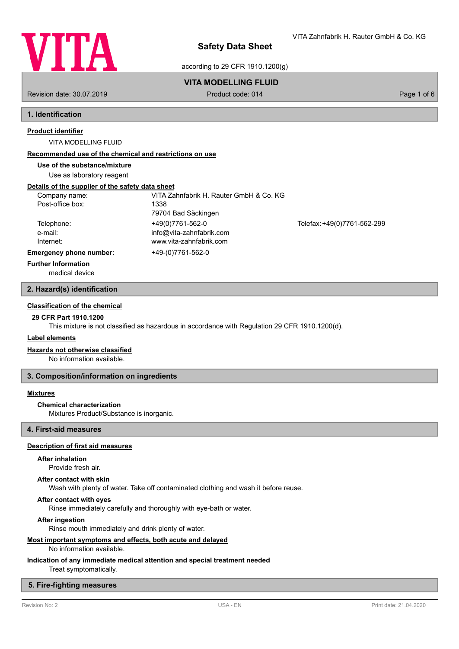

VITA Zahnfabrik H. Rauter GmbH & Co. KG

according to 29 CFR 1910.1200(g)

# **VITA MODELLING FLUID**

Revision date: 30.07.2019 **Product code: 014** Product code: 014 **Page 1 of 6** Page 1 of 6

# **1. Identification**

# **Product identifier**

VITA MODELLING FLUID

### **Recommended use of the chemical and restrictions on use**

**Use of the substance/mixture**

Use as laboratory reagent

### **Details of the supplier of the safety data sheet**

| Company name:                  | VITA Zahnfabrik H. Rauter GmbH & Co. KG |                             |  |
|--------------------------------|-----------------------------------------|-----------------------------|--|
| Post-office box:               | 1338                                    |                             |  |
|                                | 79704 Bad Säckingen                     |                             |  |
| Telephone:                     | +49(0)7761-562-0                        | Telefax: +49(0)7761-562-299 |  |
| e-mail:                        | info@vita-zahnfabrik.com                |                             |  |
| Internet:                      | www.vita-zahnfabrik.com                 |                             |  |
| <b>Emergency phone number:</b> | +49-(0)7761-562-0                       |                             |  |
| <b>Further Information</b>     |                                         |                             |  |

medical device

### **2. Hazard(s) identification**

# **Classification of the chemical**

# **29 CFR Part 1910.1200**

This mixture is not classified as hazardous in accordance with Regulation 29 CFR 1910.1200(d).

## **Label elements**

### **Hazards not otherwise classified**

No information available.

### **3. Composition/information on ingredients**

### **Mixtures**

### **Chemical characterization**

Mixtures Product/Substance is inorganic.

# **4. First-aid measures**

## **Description of first aid measures**

### **After inhalation**

Provide fresh air.

#### **After contact with skin**

Wash with plenty of water. Take off contaminated clothing and wash it before reuse.

### **After contact with eyes**

Rinse immediately carefully and thoroughly with eye-bath or water.

#### **After ingestion**

Rinse mouth immediately and drink plenty of water.

# **Most important symptoms and effects, both acute and delayed**

# No information available.

# **Indication of any immediate medical attention and special treatment needed**

Treat symptomatically.

# **5. Fire-fighting measures**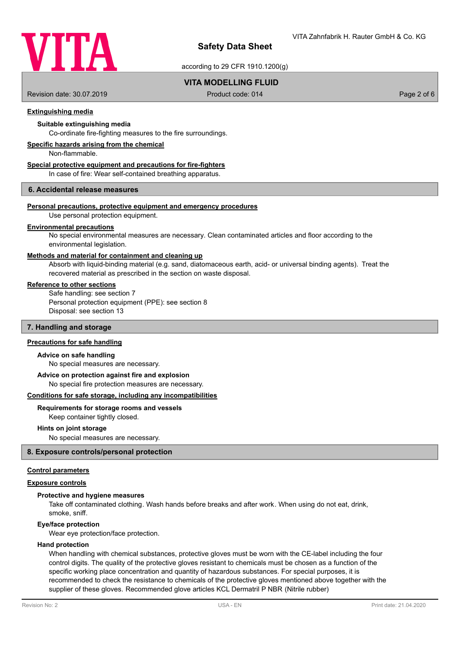

according to 29 CFR 1910.1200(g)

# **VITA MODELLING FLUID**

Revision date: 30.07.2019 **Product code: 014** Product code: 014 **Page 2 of 6** Page 2 of 6

## **Extinguishing media**

## **Suitable extinguishing media**

Co-ordinate fire-fighting measures to the fire surroundings.

### **Specific hazards arising from the chemical**

Non-flammable.

### **Special protective equipment and precautions for fire-fighters**

In case of fire: Wear self-contained breathing apparatus.

#### **6. Accidental release measures**

#### **Personal precautions, protective equipment and emergency procedures**

Use personal protection equipment.

#### **Environmental precautions**

No special environmental measures are necessary. Clean contaminated articles and floor according to the environmental legislation.

### **Methods and material for containment and cleaning up**

Absorb with liquid-binding material (e.g. sand, diatomaceous earth, acid- or universal binding agents). Treat the recovered material as prescribed in the section on waste disposal.

#### **Reference to other sections**

Safe handling: see section 7 Personal protection equipment (PPE): see section 8 Disposal: see section 13

### **7. Handling and storage**

#### **Precautions for safe handling**

#### **Advice on safe handling**

No special measures are necessary.

# **Advice on protection against fire and explosion**

No special fire protection measures are necessary.

### **Conditions for safe storage, including any incompatibilities**

#### **Requirements for storage rooms and vessels**

Keep container tightly closed.

#### **Hints on joint storage**

No special measures are necessary.

### **8. Exposure controls/personal protection**

# **Control parameters**

# **Exposure controls**

## **Protective and hygiene measures**

Take off contaminated clothing. Wash hands before breaks and after work. When using do not eat, drink, smoke, sniff.

#### **Eye/face protection**

Wear eye protection/face protection.

### **Hand protection**

When handling with chemical substances, protective gloves must be worn with the CE-label including the four control digits. The quality of the protective gloves resistant to chemicals must be chosen as a function of the specific working place concentration and quantity of hazardous substances. For special purposes, it is recommended to check the resistance to chemicals of the protective gloves mentioned above together with the supplier of these gloves. Recommended glove articles KCL Dermatril P NBR (Nitrile rubber)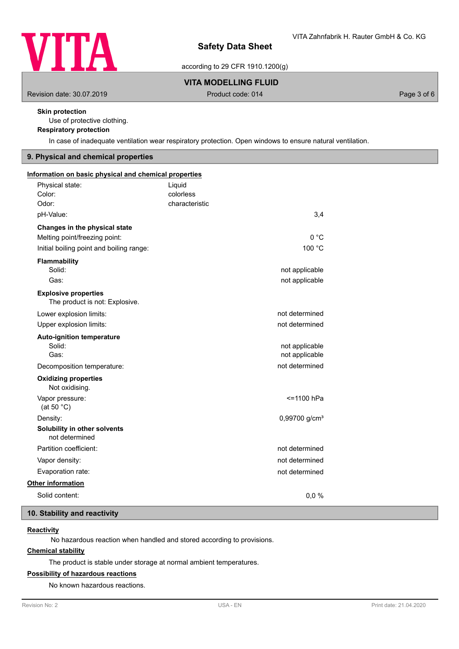

according to 29 CFR 1910.1200(g)

# **VITA MODELLING FLUID**

Revision date: 30.07.2019 **Product code: 014** Product code: 014 **Page 3 of 6** Page 3 of 6

# **Skin protection**

Use of protective clothing.

## **Respiratory protection**

In case of inadequate ventilation wear respiratory protection. Open windows to ensure natural ventilation.

# **9. Physical and chemical properties**

| Information on basic physical and chemical properties |                |                             |  |
|-------------------------------------------------------|----------------|-----------------------------|--|
| Physical state:                                       | Liquid         |                             |  |
| Color:                                                | colorless      |                             |  |
| Odor:                                                 | characteristic |                             |  |
| pH-Value:                                             |                | 3,4                         |  |
| Changes in the physical state                         |                |                             |  |
| Melting point/freezing point:                         |                | 0 °C                        |  |
| Initial boiling point and boiling range:              |                | 100 °C                      |  |
| Flammability                                          |                |                             |  |
| Solid:                                                |                | not applicable              |  |
| Gas:                                                  |                | not applicable              |  |
| <b>Explosive properties</b>                           |                |                             |  |
| The product is not: Explosive.                        |                |                             |  |
| Lower explosion limits:                               |                | not determined              |  |
| Upper explosion limits:                               |                | not determined              |  |
| <b>Auto-ignition temperature</b>                      |                |                             |  |
| Solid:                                                |                | not applicable              |  |
| Gas:                                                  |                | not applicable              |  |
| Decomposition temperature:                            |                | not determined              |  |
| <b>Oxidizing properties</b><br>Not oxidising.         |                |                             |  |
| Vapor pressure:<br>(at 50 $°C$ )                      |                | <=1100 hPa                  |  |
| Density:                                              |                | $0,99700$ g/cm <sup>3</sup> |  |
| Solubility in other solvents<br>not determined        |                |                             |  |
| Partition coefficient:                                |                | not determined              |  |
| Vapor density:                                        |                | not determined              |  |
| Evaporation rate:                                     |                | not determined              |  |
| Other information                                     |                |                             |  |
| Solid content:                                        |                | 0.0 %                       |  |

# **10. Stability and reactivity**

# **Reactivity**

No hazardous reaction when handled and stored according to provisions.

# **Chemical stability**

The product is stable under storage at normal ambient temperatures.

# **Possibility of hazardous reactions**

No known hazardous reactions.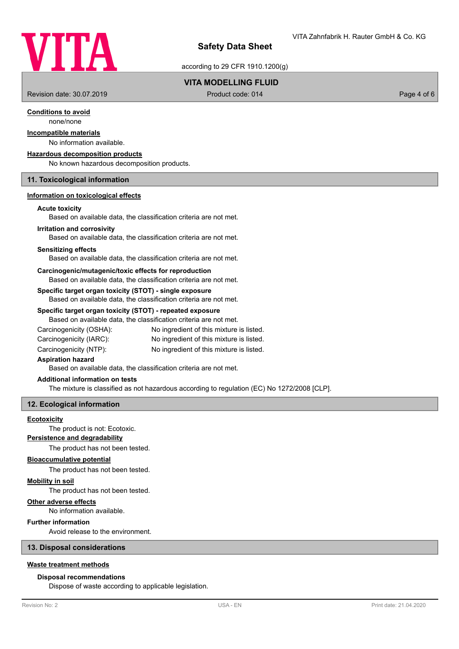

according to 29 CFR 1910.1200(g)

# **VITA MODELLING FLUID**

Revision date: 30.07.2019 **Product code: 014** Product code: 014 **Page 4 of 6** Page 4 of 6

# **Conditions to avoid**

none/none

# **Incompatible materials**

# No information available.

**Hazardous decomposition products**

No known hazardous decomposition products.

### **11. Toxicological information**

# **Information on toxicological effects**

#### **Acute toxicity**

Based on available data, the classification criteria are not met.

#### **Irritation and corrosivity**

Based on available data, the classification criteria are not met.

#### **Sensitizing effects**

Based on available data, the classification criteria are not met.

#### **Carcinogenic/mutagenic/toxic effects for reproduction**

Based on available data, the classification criteria are not met.

### **Specific target organ toxicity (STOT) - single exposure**

Based on available data, the classification criteria are not met.

#### **Specific target organ toxicity (STOT) - repeated exposure**

Based on available data, the classification criteria are not met.

Carcinogenicity (OSHA): No ingredient of this mixture is listed. Carcinogenicity (IARC): No ingredient of this mixture is listed.

Carcinogenicity (NTP): No ingredient of this mixture is listed.

### **Aspiration hazard**

Based on available data, the classification criteria are not met.

### **Additional information on tests**

The mixture is classified as not hazardous according to regulation (EC) No 1272/2008 [CLP].

# **12. Ecological information**

#### **Ecotoxicity**

The product is not: Ecotoxic.

### **Persistence and degradability**

The product has not been tested.

#### **Bioaccumulative potential**

The product has not been tested.

#### **Mobility in soil**

The product has not been tested.

#### **Other adverse effects**

No information available.

## **Further information**

Avoid release to the environment.

# **13. Disposal considerations**

## **Waste treatment methods**

#### **Disposal recommendations**

Dispose of waste according to applicable legislation.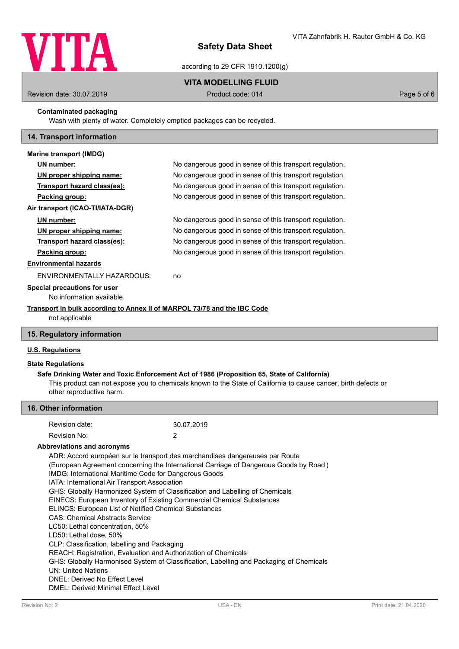

according to 29 CFR 1910.1200(g)

# **VITA MODELLING FLUID**

Revision date: 30.07.2019 **Product code: 014** Product code: 014 **Page 5 of 6** Page 5 of 6

# **Contaminated packaging**

Wash with plenty of water. Completely emptied packages can be recycled.

## **14. Transport information**

| <b>Marine transport (IMDG)</b>                                           |                                                          |  |
|--------------------------------------------------------------------------|----------------------------------------------------------|--|
| UN number:                                                               | No dangerous good in sense of this transport regulation. |  |
| <u>UN proper shipping name:</u>                                          | No dangerous good in sense of this transport regulation. |  |
| Transport hazard class(es):                                              | No dangerous good in sense of this transport regulation. |  |
| Packing group:                                                           | No dangerous good in sense of this transport regulation. |  |
| Air transport (ICAO-TI/IATA-DGR)                                         |                                                          |  |
| UN number:                                                               | No dangerous good in sense of this transport regulation. |  |
| UN proper shipping name:                                                 | No dangerous good in sense of this transport regulation. |  |
| Transport hazard class(es):                                              | No dangerous good in sense of this transport regulation. |  |
| Packing group:                                                           | No dangerous good in sense of this transport regulation. |  |
| <b>Environmental hazards</b>                                             |                                                          |  |
| ENVIRONMENTALLY HAZARDOUS:                                               | no                                                       |  |
| Special precautions for user<br>No information available.                |                                                          |  |
| Transport in bulk according to Annex II of MARPOL 73/78 and the IBC Code |                                                          |  |

not applicable

# **15. Regulatory information**

# **U.S. Regulations**

# **State Regulations**

This product can not expose you to chemicals known to the State of California to cause cancer, birth defects or other reproductive harm. **Safe Drinking Water and Toxic Enforcement Act of 1986 (Proposition 65, State of California)**

| 16. Other information                                                                                                      |                                                                                                                                                                                                                                                                                                                                                                                                                                                                                                                                                                                                                                                                                                                                                                                             |  |  |  |
|----------------------------------------------------------------------------------------------------------------------------|---------------------------------------------------------------------------------------------------------------------------------------------------------------------------------------------------------------------------------------------------------------------------------------------------------------------------------------------------------------------------------------------------------------------------------------------------------------------------------------------------------------------------------------------------------------------------------------------------------------------------------------------------------------------------------------------------------------------------------------------------------------------------------------------|--|--|--|
| Revision date:                                                                                                             | 30.07.2019                                                                                                                                                                                                                                                                                                                                                                                                                                                                                                                                                                                                                                                                                                                                                                                  |  |  |  |
| Revision No:                                                                                                               | 2                                                                                                                                                                                                                                                                                                                                                                                                                                                                                                                                                                                                                                                                                                                                                                                           |  |  |  |
| Abbreviations and acronyms                                                                                                 |                                                                                                                                                                                                                                                                                                                                                                                                                                                                                                                                                                                                                                                                                                                                                                                             |  |  |  |
| LD50: Lethal dose, 50%<br><b>UN: United Nations</b><br>DNEL: Derived No Effect Level<br>DMEL: Derived Minimal Effect Level | ADR: Accord européen sur le transport des marchandises dangereuses par Route<br>(European Agreement concerning the International Carriage of Dangerous Goods by Road)<br>IMDG: International Maritime Code for Dangerous Goods<br>IATA: International Air Transport Association<br>GHS: Globally Harmonized System of Classification and Labelling of Chemicals<br>EINECS: European Inventory of Existing Commercial Chemical Substances<br>ELINCS: European List of Notified Chemical Substances<br><b>CAS: Chemical Abstracts Service</b><br>LC50: Lethal concentration, 50%<br>CLP: Classification, labelling and Packaging<br>REACH: Registration, Evaluation and Authorization of Chemicals<br>GHS: Globally Harmonised System of Classification, Labelling and Packaging of Chemicals |  |  |  |